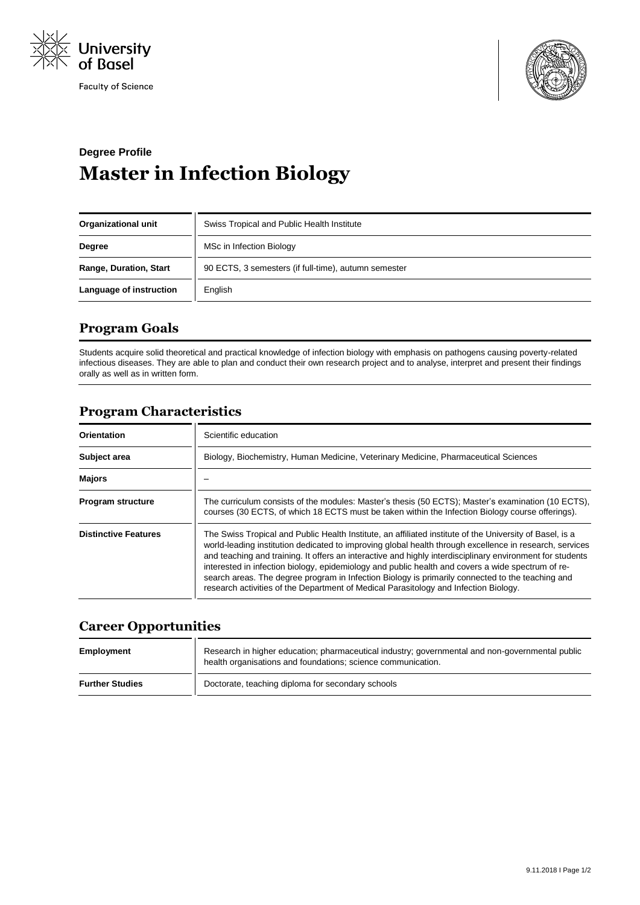

**Faculty of Science** 



# **Degree Profile Master in Infection Biology**

| <b>Organizational unit</b>    | Swiss Tropical and Public Health Institute           |
|-------------------------------|------------------------------------------------------|
| <b>Degree</b>                 | MSc in Infection Biology                             |
| <b>Range, Duration, Start</b> | 90 ECTS, 3 semesters (if full-time), autumn semester |
| Language of instruction       | English                                              |

# **Program Goals**

Students acquire solid theoretical and practical knowledge of infection biology with emphasis on pathogens causing poverty-related infectious diseases. They are able to plan and conduct their own research project and to analyse, interpret and present their findings orally as well as in written form.

# **Program Characteristics**

| Orientation                 | Scientific education                                                                                                                                                                                                                                                                                                                                                                                                                                                                                                                                                                                                              |
|-----------------------------|-----------------------------------------------------------------------------------------------------------------------------------------------------------------------------------------------------------------------------------------------------------------------------------------------------------------------------------------------------------------------------------------------------------------------------------------------------------------------------------------------------------------------------------------------------------------------------------------------------------------------------------|
| Subject area                | Biology, Biochemistry, Human Medicine, Veterinary Medicine, Pharmaceutical Sciences                                                                                                                                                                                                                                                                                                                                                                                                                                                                                                                                               |
| <b>Majors</b>               |                                                                                                                                                                                                                                                                                                                                                                                                                                                                                                                                                                                                                                   |
| <b>Program structure</b>    | The curriculum consists of the modules: Master's thesis (50 ECTS); Master's examination (10 ECTS),<br>courses (30 ECTS, of which 18 ECTS must be taken within the Infection Biology course offerings).                                                                                                                                                                                                                                                                                                                                                                                                                            |
| <b>Distinctive Features</b> | The Swiss Tropical and Public Health Institute, an affiliated institute of the University of Basel, is a<br>world-leading institution dedicated to improving global health through excellence in research, services<br>and teaching and training. It offers an interactive and highly interdisciplinary environment for students<br>interested in infection biology, epidemiology and public health and covers a wide spectrum of re-<br>search areas. The degree program in Infection Biology is primarily connected to the teaching and<br>research activities of the Department of Medical Parasitology and Infection Biology. |

### **Career Opportunities**

| Employment             | Research in higher education; pharmaceutical industry; governmental and non-governmental public<br>health organisations and foundations; science communication. |
|------------------------|-----------------------------------------------------------------------------------------------------------------------------------------------------------------|
| <b>Further Studies</b> | Doctorate, teaching diploma for secondary schools                                                                                                               |